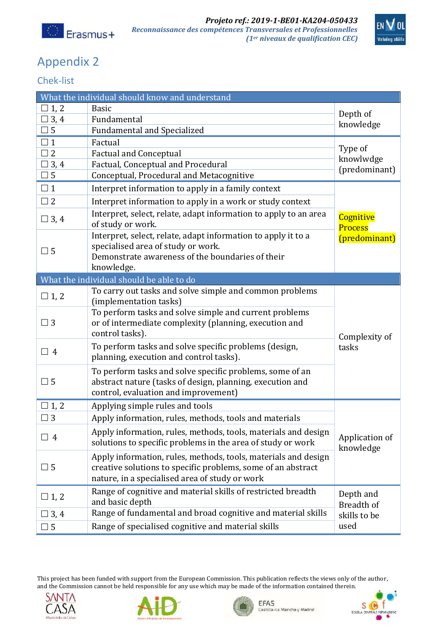



## Appendix 2

## Chek-list

| What the individual should know and understand |                                                                                                                                                                                  |                                                 |  |
|------------------------------------------------|----------------------------------------------------------------------------------------------------------------------------------------------------------------------------------|-------------------------------------------------|--|
| $\Box$ 1, 2                                    | <b>Basic</b>                                                                                                                                                                     |                                                 |  |
| $\Box$ 3, 4                                    | Fundamental                                                                                                                                                                      | Depth of<br>knowledge                           |  |
| $\Box$ 5                                       | <b>Fundamental and Specialized</b>                                                                                                                                               |                                                 |  |
| $\Box$ 1                                       | Factual                                                                                                                                                                          | Type of<br>knowlwdge<br>(predominant)           |  |
| $\Box$ 2                                       | <b>Factual and Conceptual</b>                                                                                                                                                    |                                                 |  |
| $\Box$ 3, 4                                    | Factual, Conceptual and Procedural                                                                                                                                               |                                                 |  |
| $\Box$ 5                                       | Conceptual, Procedural and Metacognitive                                                                                                                                         |                                                 |  |
| $\square$ 1                                    | Interpret information to apply in a family context                                                                                                                               | Cognitive<br><b>Process</b><br>(predominant)    |  |
| $\Box$ 2                                       | Interpret information to apply in a work or study context                                                                                                                        |                                                 |  |
| $\Box$ 3, 4                                    | Interpret, select, relate, adapt information to apply to an area<br>of study or work.                                                                                            |                                                 |  |
| $\Box$ 5                                       | Interpret, select, relate, adapt information to apply it to a<br>specialised area of study or work.<br>Demonstrate awareness of the boundaries of their                          |                                                 |  |
|                                                | knowledge.                                                                                                                                                                       |                                                 |  |
| What the individual should be able to do       |                                                                                                                                                                                  |                                                 |  |
| $\Box$ 1, 2                                    | To carry out tasks and solve simple and common problems<br>(implementation tasks)                                                                                                |                                                 |  |
| $\Box$ 3                                       | To perform tasks and solve simple and current problems<br>or of intermediate complexity (planning, execution and<br>control tasks).                                              | Complexity of                                   |  |
| $\Box$ 4                                       | To perform tasks and solve specific problems (design,<br>planning, execution and control tasks).                                                                                 | tasks                                           |  |
| $\Box$ 5                                       | To perform tasks and solve specific problems, some of an<br>abstract nature (tasks of design, planning, execution and<br>control, evaluation and improvement)                    |                                                 |  |
| $\Box$ 1, 2                                    | Applying simple rules and tools                                                                                                                                                  |                                                 |  |
| $\square$ 3                                    | Apply information, rules, methods, tools and materials                                                                                                                           |                                                 |  |
| $\Box$ 4                                       | Apply information, rules, methods, tools, materials and design<br>solutions to specific problems in the area of study or work                                                    | Application of<br>knowledge                     |  |
| $\square$ 5                                    | Apply information, rules, methods, tools, materials and design<br>creative solutions to specific problems, some of an abstract<br>nature, in a specialised area of study or work |                                                 |  |
| $\Box$ 1, 2                                    | Range of cognitive and material skills of restricted breadth<br>and basic depth                                                                                                  | Depth and<br>Breadth of<br>skills to be<br>used |  |
| $\Box$ 3, 4                                    | Range of fundamental and broad cognitive and material skills                                                                                                                     |                                                 |  |
| $\Box$ 5                                       | Range of specialised cognitive and material skills                                                                                                                               |                                                 |  |

This project has been funded with support from the European Commission. This publication reflects the views only of the author, and the Commission cannot be held responsible for any use which may be made of the information contained therein.